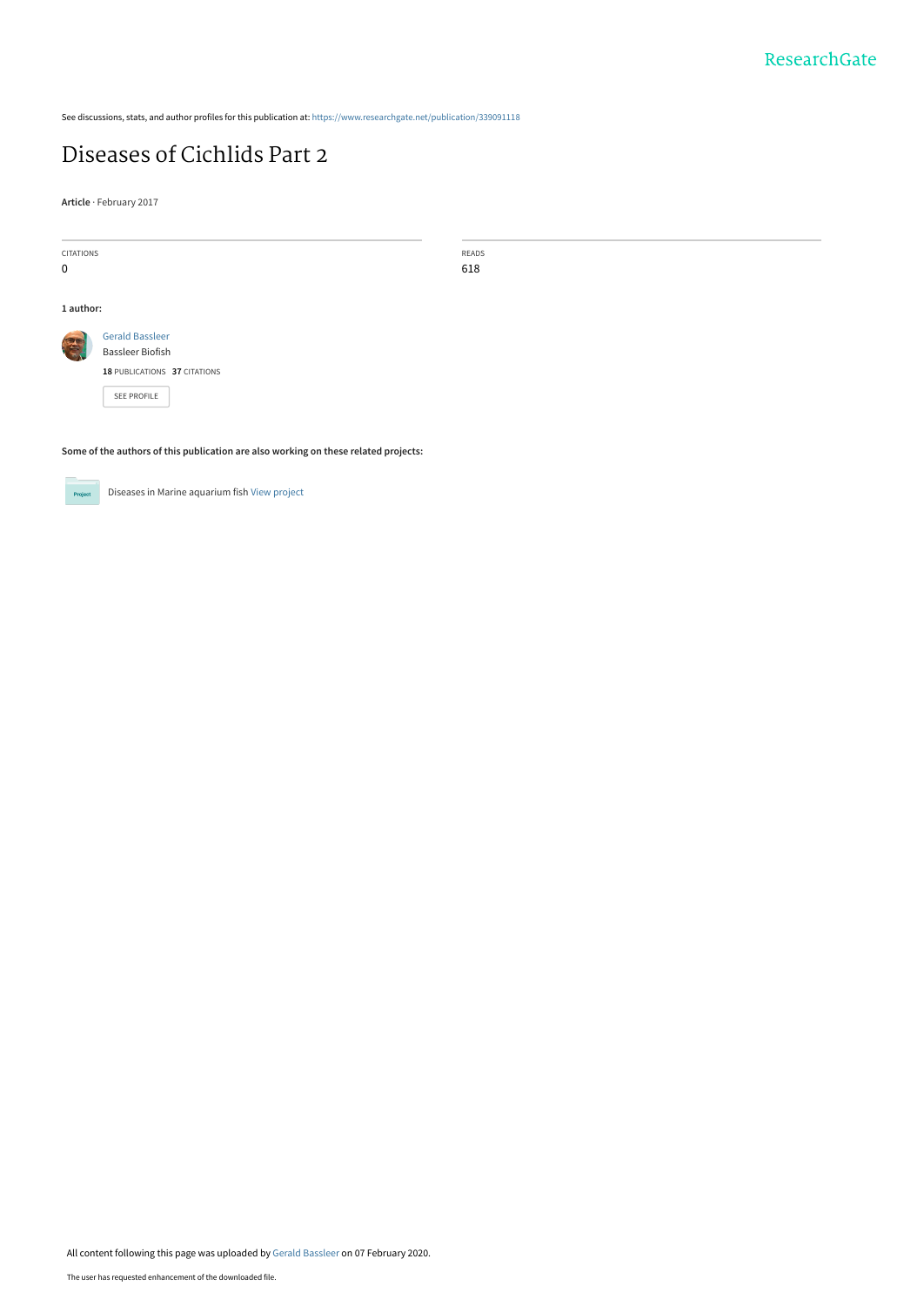See discussions, stats, and author profiles for this publication at: [https://www.researchgate.net/publication/339091118](https://www.researchgate.net/publication/339091118_Diseases_of_Cichlids_Part_2?enrichId=rgreq-a98e96afccf8fbe9c4399ac2fa1072a0-XXX&enrichSource=Y292ZXJQYWdlOzMzOTA5MTExODtBUzo4NTU4ODk0NDM1NTczNzlAMTU4MTA3MTM1MzYyNQ%3D%3D&el=1_x_2&_esc=publicationCoverPdf)

## [Diseases of Cichlids Part 2](https://www.researchgate.net/publication/339091118_Diseases_of_Cichlids_Part_2?enrichId=rgreq-a98e96afccf8fbe9c4399ac2fa1072a0-XXX&enrichSource=Y292ZXJQYWdlOzMzOTA5MTExODtBUzo4NTU4ODk0NDM1NTczNzlAMTU4MTA3MTM1MzYyNQ%3D%3D&el=1_x_3&_esc=publicationCoverPdf)

**Article** · February 2017

| CITATIONS |                              | READS |
|-----------|------------------------------|-------|
| 0         |                              | 618   |
|           |                              |       |
| 1 author: |                              |       |
| E         | <b>Gerald Bassleer</b>       |       |
|           | <b>Bassleer Biofish</b>      |       |
|           | 18 PUBLICATIONS 37 CITATIONS |       |
|           | SEE PROFILE                  |       |
|           |                              |       |
|           |                              |       |

**Some of the authors of this publication are also working on these related projects:**



Diseases in Marine aquarium fish [View project](https://www.researchgate.net/project/Diseases-in-Marine-aquarium-fish?enrichId=rgreq-a98e96afccf8fbe9c4399ac2fa1072a0-XXX&enrichSource=Y292ZXJQYWdlOzMzOTA5MTExODtBUzo4NTU4ODk0NDM1NTczNzlAMTU4MTA3MTM1MzYyNQ%3D%3D&el=1_x_9&_esc=publicationCoverPdf)